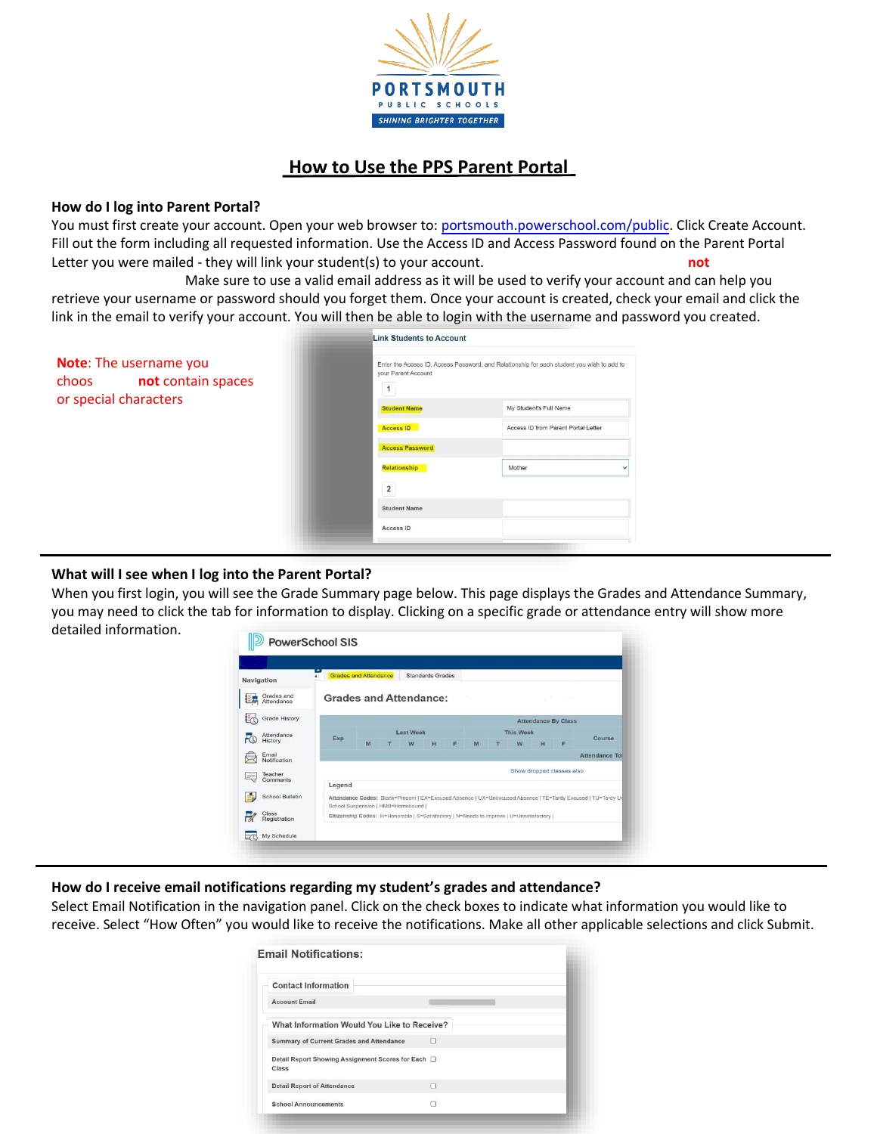

# **How to Use the PPS Parent Portal**

#### **How do I log into Parent Portal?**

You must first create your account. Open your web browser to: [portsmouth.powerschool.com/public.](https://portsmouth.powerschool.com/public) Click Create Account. Fill out the form including all requested information. Use the Access ID and Access Password found on the Parent Portal Letter you were mailed - they will link your student(s) to your account. The Username you choose must **not** contains spaces or special characters. Make sure to use a valid email address as it will be used to verify your account and can help you retrieve your username or password should you forget them. Once your account is created, check your email and click the link in the email to verify your account. You will then be able to login with the username and password you created.

|                                                                                    | <b>Link Students to Account</b> |                                                                                            |  |  |
|------------------------------------------------------------------------------------|---------------------------------|--------------------------------------------------------------------------------------------|--|--|
| Note: The username you<br>choose must not contain spaces<br>or special characters. | your Parent Account             | Enter the Access ID, Access Password, and Relationship for each student you wish to add to |  |  |
|                                                                                    | <b>Student Name</b>             | My Student's Full Name                                                                     |  |  |
|                                                                                    | <b>Access ID</b>                | Access ID from Parent Portal Letter                                                        |  |  |
|                                                                                    | <b>Access Password</b>          |                                                                                            |  |  |
|                                                                                    | <b>Relationship</b>             | Mother                                                                                     |  |  |
|                                                                                    | $\overline{2}$                  |                                                                                            |  |  |
|                                                                                    | <b>Student Name</b>             |                                                                                            |  |  |
|                                                                                    | Access ID                       |                                                                                            |  |  |
|                                                                                    |                                 |                                                                                            |  |  |

## **What will I see when I log into the Parent Portal?**

When you first login, you will see the Grade Summary page below. This page displays the Grades and Attendance Summary, you may need to click the tab for information to display. Clicking on a specific grade or attendance entry will show more detailed information.

| Navigation                   |        | <b>Grades and Attendance</b>                                                            |   | <b>Standards Grades</b> |   |  |                  |   |   |                            |                                                                                                              |
|------------------------------|--------|-----------------------------------------------------------------------------------------|---|-------------------------|---|--|------------------|---|---|----------------------------|--------------------------------------------------------------------------------------------------------------|
| Grades and<br>Attendance     |        | <b>Grades and Attendance:</b>                                                           |   |                         |   |  |                  |   |   | 12.000                     |                                                                                                              |
| Grade History                |        |                                                                                         |   |                         |   |  |                  |   |   | <b>Attendance By Class</b> |                                                                                                              |
| Attendance<br>Exp<br>History |        | <b>Last Week</b>                                                                        |   |                         |   |  | <b>This Week</b> |   |   |                            |                                                                                                              |
|                              | M      | W                                                                                       | H | F                       | M |  | w                | H | E | Course                     |                                                                                                              |
| Email<br>Notification        |        |                                                                                         |   |                         |   |  |                  |   |   |                            | Attendance Tot                                                                                               |
| Teacher                      |        |                                                                                         |   |                         |   |  |                  |   |   | Show dropped classes also  |                                                                                                              |
| Comments                     | Legend |                                                                                         |   |                         |   |  |                  |   |   |                            |                                                                                                              |
| School Bulletin              |        | School Suspension   HMB=Homebound                                                       |   |                         |   |  |                  |   |   |                            | Attendance Codes: Blank=Present   EX=Excused Absence   UX=Unexcused Absence   TE=Tardy Excused   TU=Tardy Ur |
| Class<br>Registration        |        | Citizenship Codes: H=Honorable   S=Satisfactory   N=Needs to improve   U=Unsatisfactory |   |                         |   |  |                  |   |   |                            |                                                                                                              |

## **How do I receive email notifications regarding my student's grades and attendance?**

Select Email Notification in the navigation panel. Click on the check boxes to indicate what information you would like to receive. Select "How Often" you would like to receive the notifications. Make all other applicable selections and click Submit.

| <b>Contact Information</b>                                       |   |  |
|------------------------------------------------------------------|---|--|
| <b>Account Email</b>                                             |   |  |
| What Information Would You Like to Receive?                      |   |  |
| Summary of Current Grades and Attendance                         | Ω |  |
| Detail Report Showing Assignment Scores for Each $\Box$<br>Class |   |  |
| <b>Detail Report of Attendance</b>                               | п |  |
| <b>School Announcements</b>                                      | n |  |